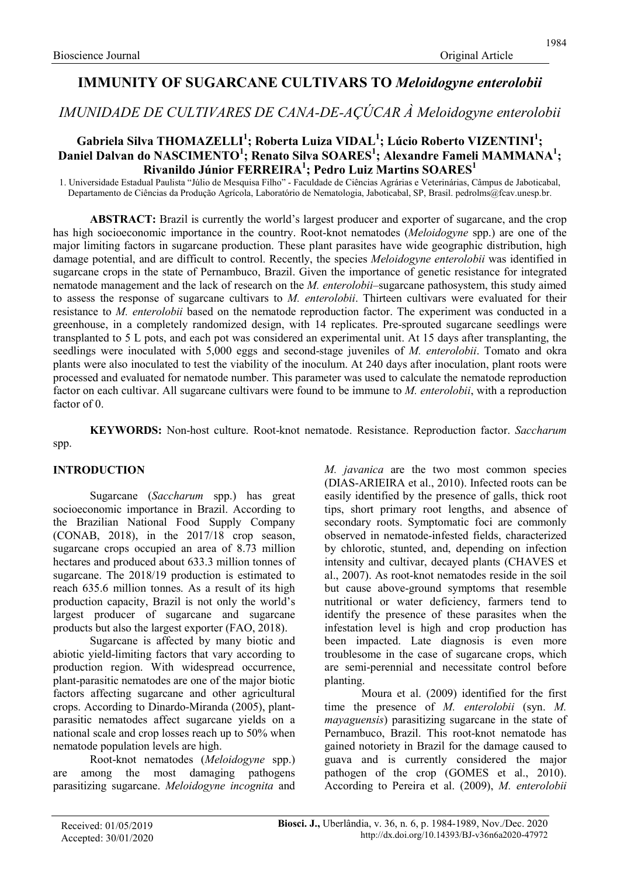# IMMUNITY OF SUGARCANE CULTIVARS TO Meloidogyne enterolobii

IMUNIDADE DE CULTIVARES DE CANA-DE-AÇÚCAR À Meloidogyne enterolobii

## Gabriela Silva THOMAZELLI<sup>1</sup>; Roberta Luiza VIDAL<sup>1</sup>; Lúcio Roberto VIZENTINI<sup>1</sup>; Daniel Dalvan do NASCIMENTO<sup>1</sup>; Renato Silva SOARES<sup>1</sup>; Alexandre Fameli MAMMANA<sup>1</sup>; Rivanildo Júnior FERREIRA<sup>1</sup>; Pedro Luiz Martins SOARES<sup>1</sup>

1. Universidade Estadual Paulista "Júlio de Mesquisa Filho" - Faculdade de Ciências Agrárias e Veterinárias, Câmpus de Jaboticabal, Departamento de Ciências da Produção Agrícola, Laboratório de Nematologia, Jaboticabal, SP, Brasil. pedrolms@fcav.unesp.br.

ABSTRACT: Brazil is currently the world's largest producer and exporter of sugarcane, and the crop has high socioeconomic importance in the country. Root-knot nematodes (Meloidogyne spp.) are one of the major limiting factors in sugarcane production. These plant parasites have wide geographic distribution, high damage potential, and are difficult to control. Recently, the species Meloidogyne enterolobii was identified in sugarcane crops in the state of Pernambuco, Brazil. Given the importance of genetic resistance for integrated nematode management and the lack of research on the M. enterolobii–sugarcane pathosystem, this study aimed to assess the response of sugarcane cultivars to M. enterolobii. Thirteen cultivars were evaluated for their resistance to M. enterolobii based on the nematode reproduction factor. The experiment was conducted in a greenhouse, in a completely randomized design, with 14 replicates. Pre-sprouted sugarcane seedlings were transplanted to 5 L pots, and each pot was considered an experimental unit. At 15 days after transplanting, the seedlings were inoculated with 5,000 eggs and second-stage juveniles of M. enterolobii. Tomato and okra plants were also inoculated to test the viability of the inoculum. At 240 days after inoculation, plant roots were processed and evaluated for nematode number. This parameter was used to calculate the nematode reproduction factor on each cultivar. All sugarcane cultivars were found to be immune to M. enterolobii, with a reproduction factor of 0.

KEYWORDS: Non-host culture. Root-knot nematode. Resistance. Reproduction factor. Saccharum spp.

### INTRODUCTION

Sugarcane (Saccharum spp.) has great socioeconomic importance in Brazil. According to the Brazilian National Food Supply Company (CONAB, 2018), in the 2017/18 crop season, sugarcane crops occupied an area of 8.73 million hectares and produced about 633.3 million tonnes of sugarcane. The 2018/19 production is estimated to reach 635.6 million tonnes. As a result of its high production capacity, Brazil is not only the world's largest producer of sugarcane and sugarcane products but also the largest exporter (FAO, 2018).

Sugarcane is affected by many biotic and abiotic yield-limiting factors that vary according to production region. With widespread occurrence, plant-parasitic nematodes are one of the major biotic factors affecting sugarcane and other agricultural crops. According to Dinardo-Miranda (2005), plantparasitic nematodes affect sugarcane yields on a national scale and crop losses reach up to 50% when nematode population levels are high.

Root-knot nematodes (Meloidogyne spp.) are among the most damaging pathogens parasitizing sugarcane. Meloidogyne incognita and M. *javanica* are the two most common species (DIAS-ARIEIRA et al., 2010). Infected roots can be easily identified by the presence of galls, thick root tips, short primary root lengths, and absence of secondary roots. Symptomatic foci are commonly observed in nematode-infested fields, characterized by chlorotic, stunted, and, depending on infection intensity and cultivar, decayed plants (CHAVES et al., 2007). As root-knot nematodes reside in the soil but cause above-ground symptoms that resemble nutritional or water deficiency, farmers tend to identify the presence of these parasites when the infestation level is high and crop production has been impacted. Late diagnosis is even more troublesome in the case of sugarcane crops, which are semi-perennial and necessitate control before planting.

Moura et al. (2009) identified for the first time the presence of M. enterolobii (syn. M. mayaguensis) parasitizing sugarcane in the state of Pernambuco, Brazil. This root-knot nematode has gained notoriety in Brazil for the damage caused to guava and is currently considered the major pathogen of the crop (GOMES et al., 2010). According to Pereira et al. (2009), M. enterolobii

1984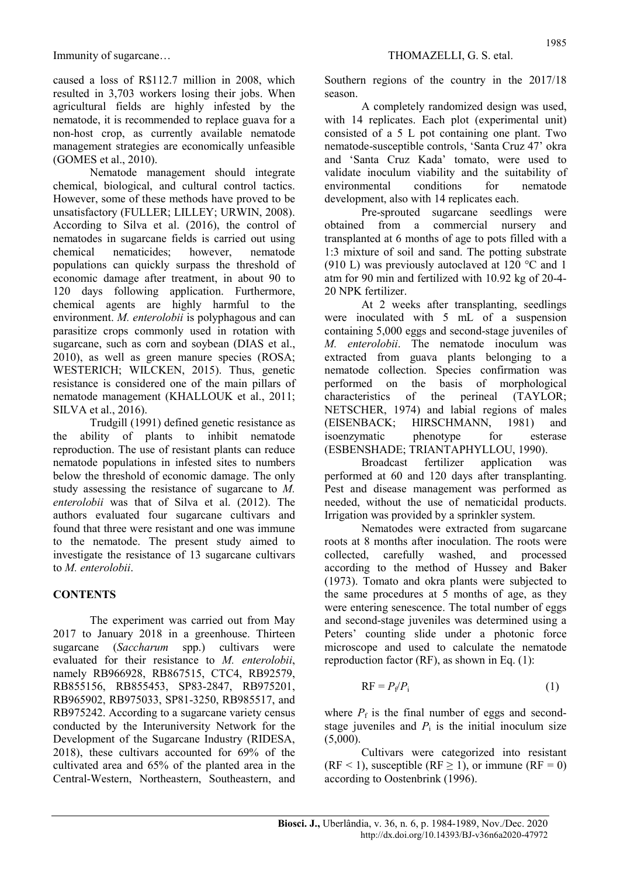caused a loss of R\$112.7 million in 2008, which resulted in 3,703 workers losing their jobs. When agricultural fields are highly infested by the nematode, it is recommended to replace guava for a non-host crop, as currently available nematode management strategies are economically unfeasible (GOMES et al., 2010).

Nematode management should integrate chemical, biological, and cultural control tactics. However, some of these methods have proved to be unsatisfactory (FULLER; LILLEY; URWIN, 2008). According to Silva et al. (2016), the control of nematodes in sugarcane fields is carried out using chemical nematicides; however, nematode populations can quickly surpass the threshold of economic damage after treatment, in about 90 to 120 days following application. Furthermore, chemical agents are highly harmful to the environment. M. enterolobii is polyphagous and can parasitize crops commonly used in rotation with sugarcane, such as corn and soybean (DIAS et al., 2010), as well as green manure species (ROSA; WESTERICH; WILCKEN, 2015). Thus, genetic resistance is considered one of the main pillars of nematode management (KHALLOUK et al., 2011; SILVA et al., 2016).

Trudgill (1991) defined genetic resistance as the ability of plants to inhibit nematode reproduction. The use of resistant plants can reduce nematode populations in infested sites to numbers below the threshold of economic damage. The only study assessing the resistance of sugarcane to M. enterolobii was that of Silva et al. (2012). The authors evaluated four sugarcane cultivars and found that three were resistant and one was immune to the nematode. The present study aimed to investigate the resistance of 13 sugarcane cultivars to M. enterolobii.

### **CONTENTS**

The experiment was carried out from May 2017 to January 2018 in a greenhouse. Thirteen sugarcane (Saccharum spp.) cultivars were evaluated for their resistance to M. enterolobii, namely RB966928, RB867515, CTC4, RB92579, RB855156, RB855453, SP83-2847, RB975201, RB965902, RB975033, SP81-3250, RB985517, and RB975242. According to a sugarcane variety census conducted by the Interuniversity Network for the Development of the Sugarcane Industry (RIDESA, 2018), these cultivars accounted for 69% of the cultivated area and 65% of the planted area in the Central-Western, Northeastern, Southeastern, and Southern regions of the country in the 2017/18 season.

A completely randomized design was used, with 14 replicates. Each plot (experimental unit) consisted of a 5 L pot containing one plant. Two nematode-susceptible controls, 'Santa Cruz 47' okra and 'Santa Cruz Kada' tomato, were used to validate inoculum viability and the suitability of environmental conditions for nematode development, also with 14 replicates each.

Pre-sprouted sugarcane seedlings were obtained from a commercial nursery and transplanted at 6 months of age to pots filled with a 1:3 mixture of soil and sand. The potting substrate (910 L) was previously autoclaved at 120 °C and 1 atm for 90 min and fertilized with 10.92 kg of 20-4- 20 NPK fertilizer.

At 2 weeks after transplanting, seedlings were inoculated with 5 mL of a suspension containing 5,000 eggs and second-stage juveniles of M. enterolobii. The nematode inoculum was extracted from guava plants belonging to a nematode collection. Species confirmation was performed on the basis of morphological characteristics of the perineal (TAYLOR; NETSCHER, 1974) and labial regions of males (EISENBACK; HIRSCHMANN, 1981) and isoenzymatic phenotype for esterase (ESBENSHADE; TRIANTAPHYLLOU, 1990).

Broadcast fertilizer application was performed at 60 and 120 days after transplanting. Pest and disease management was performed as needed, without the use of nematicidal products. Irrigation was provided by a sprinkler system.

Nematodes were extracted from sugarcane roots at 8 months after inoculation. The roots were collected, carefully washed, and processed according to the method of Hussey and Baker (1973). Tomato and okra plants were subjected to the same procedures at 5 months of age, as they were entering senescence. The total number of eggs and second-stage juveniles was determined using a Peters' counting slide under a photonic force microscope and used to calculate the nematode reproduction factor (RF), as shown in Eq. (1):

$$
RF = P_f/P_i \tag{1}
$$

where  $P_f$  is the final number of eggs and secondstage juveniles and  $P_i$  is the initial inoculum size (5,000).

Cultivars were categorized into resistant  $(RF < 1)$ , susceptible  $(RF \ge 1)$ , or immune  $(RF = 0)$ according to Oostenbrink (1996).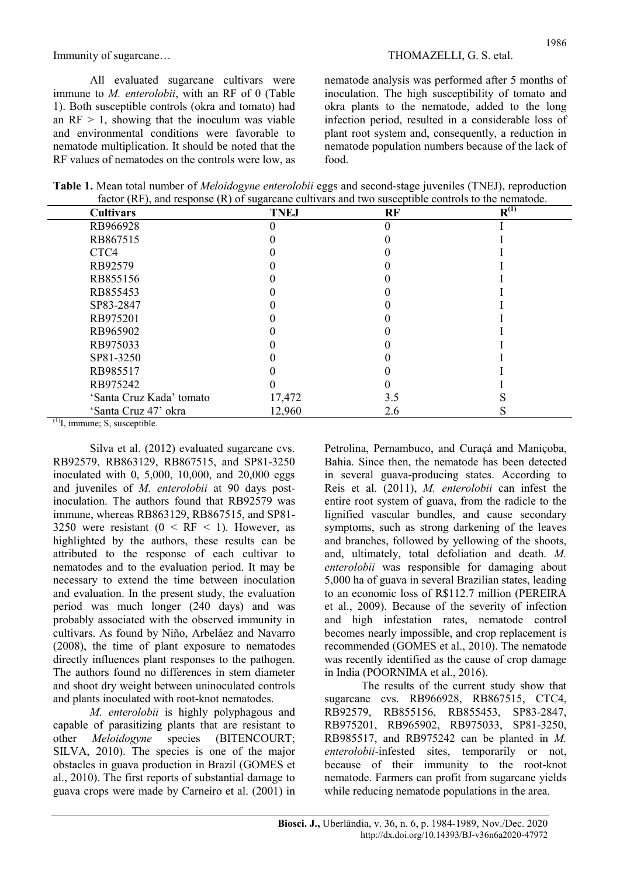All evaluated sugarcane cultivars were immune to *M. enterolobii*, with an RF of 0 (Table 1). Both susceptible controls (okra and tomato) had an  $RF > 1$ , showing that the inoculum was viable and environmental conditions were favorable to nematode multiplication. It should be noted that the RF values of nematodes on the controls were low, as nematode analysis was performed after 5 months of inoculation. The high susceptibility of tomato and okra plants to the nematode, added to the long infection period, resulted in a considerable loss of plant root system and, consequently, a reduction in nematode population numbers because of the lack of food.

Table 1. Mean total number of *Meloidogyne enterolobii* eggs and second-stage juveniles (TNEJ), reproduction factor (RF), and response (R) of sugarcane cultivars and two susceptible controls to the nematode.

| <b>Cultivars</b>         | <b>TNEJ</b> | RF  | $R^{(1)}$ |
|--------------------------|-------------|-----|-----------|
| RB966928                 |             |     |           |
| RB867515                 |             |     |           |
| CTC4                     |             |     |           |
| RB92579                  |             |     |           |
| RB855156                 |             |     |           |
| RB855453                 |             |     |           |
| SP83-2847                |             |     |           |
| RB975201                 |             |     |           |
| RB965902                 |             |     |           |
| RB975033                 |             |     |           |
| SP81-3250                |             |     |           |
| RB985517                 |             |     |           |
| RB975242                 |             |     |           |
| 'Santa Cruz Kada' tomato | 17,472      | 3.5 |           |
| 'Santa Cruz 47' okra     | 12,960      | 2.6 |           |

 $<sup>(1)</sup>I$ , immune; S, susceptible.</sup>

Silva et al. (2012) evaluated sugarcane cvs. RB92579, RB863129, RB867515, and SP81-3250 inoculated with 0, 5,000, 10,000, and 20,000 eggs and juveniles of M. enterolobii at 90 days postinoculation. The authors found that RB92579 was immune, whereas RB863129, RB867515, and SP81- 3250 were resistant  $(0 \leq RF \leq 1)$ . However, as highlighted by the authors, these results can be attributed to the response of each cultivar to nematodes and to the evaluation period. It may be necessary to extend the time between inoculation and evaluation. In the present study, the evaluation period was much longer (240 days) and was probably associated with the observed immunity in cultivars. As found by Niño, Arbeláez and Navarro (2008), the time of plant exposure to nematodes directly influences plant responses to the pathogen. The authors found no differences in stem diameter and shoot dry weight between uninoculated controls and plants inoculated with root-knot nematodes.

M. enterolobii is highly polyphagous and capable of parasitizing plants that are resistant to other *Meloidogyne* species (BITENCOURT; SILVA, 2010). The species is one of the major obstacles in guava production in Brazil (GOMES et al., 2010). The first reports of substantial damage to guava crops were made by Carneiro et al. (2001) in Petrolina, Pernambuco, and Curaçá and Maniçoba, Bahia. Since then, the nematode has been detected in several guava-producing states. According to Reis et al. (2011), M. enterolobii can infest the entire root system of guava, from the radicle to the lignified vascular bundles, and cause secondary symptoms, such as strong darkening of the leaves and branches, followed by yellowing of the shoots, and, ultimately, total defoliation and death. M. enterolobii was responsible for damaging about 5,000 ha of guava in several Brazilian states, leading to an economic loss of R\$112.7 million (PEREIRA et al., 2009). Because of the severity of infection and high infestation rates, nematode control becomes nearly impossible, and crop replacement is recommended (GOMES et al., 2010). The nematode was recently identified as the cause of crop damage in India (POORNIMA et al., 2016).

The results of the current study show that sugarcane cvs. RB966928, RB867515, CTC4, RB92579, RB855156, RB855453, SP83-2847, RB975201, RB965902, RB975033, SP81-3250, RB985517, and RB975242 can be planted in M. enterolobii-infested sites, temporarily or not, because of their immunity to the root-knot nematode. Farmers can profit from sugarcane yields while reducing nematode populations in the area.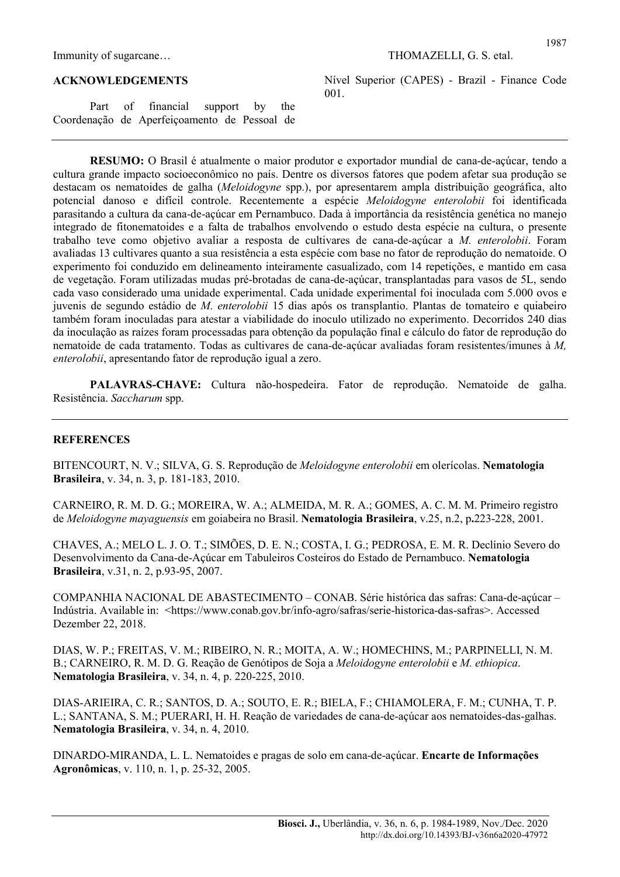Immunity of sugarcane… THOMAZELLI, G. S. etal.

#### ACKNOWLEDGEMENTS

Part of financial support by the Coordenação de Aperfeiçoamento de Pessoal de Nível Superior (CAPES) - Brazil - Finance Code 001.

1987

RESUMO: O Brasil é atualmente o maior produtor e exportador mundial de cana-de-açúcar, tendo a cultura grande impacto socioeconômico no país. Dentre os diversos fatores que podem afetar sua produção se destacam os nematoides de galha (Meloidogyne spp.), por apresentarem ampla distribuição geográfica, alto potencial danoso e difícil controle. Recentemente a espécie Meloidogyne enterolobii foi identificada parasitando a cultura da cana-de-açúcar em Pernambuco. Dada à importância da resistência genética no manejo integrado de fitonematoides e a falta de trabalhos envolvendo o estudo desta espécie na cultura, o presente trabalho teve como objetivo avaliar a resposta de cultivares de cana-de-açúcar a M. enterolobii. Foram avaliadas 13 cultivares quanto a sua resistência a esta espécie com base no fator de reprodução do nematoide. O experimento foi conduzido em delineamento inteiramente casualizado, com 14 repetições, e mantido em casa de vegetação. Foram utilizadas mudas pré-brotadas de cana-de-açúcar, transplantadas para vasos de 5L, sendo cada vaso considerado uma unidade experimental. Cada unidade experimental foi inoculada com 5.000 ovos e juvenis de segundo estádio de M. enterolobii 15 dias após os transplantio. Plantas de tomateiro e quiabeiro também foram inoculadas para atestar a viabilidade do inoculo utilizado no experimento. Decorridos 240 dias da inoculação as raízes foram processadas para obtenção da população final e cálculo do fator de reprodução do nematoide de cada tratamento. Todas as cultivares de cana-de-açúcar avaliadas foram resistentes/imunes à M, enterolobii, apresentando fator de reprodução igual a zero.

PALAVRAS-CHAVE: Cultura não-hospedeira. Fator de reprodução. Nematoide de galha. Resistência. Saccharum spp.

#### **REFERENCES**

BITENCOURT, N. V.; SILVA, G. S. Reprodução de *Meloidogyne enterolobii* em olerícolas. Nematologia Brasileira, v. 34, n. 3, p. 181-183, 2010.

CARNEIRO, R. M. D. G.; MOREIRA, W. A.; ALMEIDA, M. R. A.; GOMES, A. C. M. M. Primeiro registro de Meloidogyne mayaguensis em goiabeira no Brasil. Nematologia Brasileira, v.25, n.2, p.223-228, 2001.

CHAVES, A.; MELO L. J. O. T.; SIMÕES, D. E. N.; COSTA, I. G.; PEDROSA, E. M. R. Declínio Severo do Desenvolvimento da Cana-de-Açúcar em Tabuleiros Costeiros do Estado de Pernambuco. Nematologia Brasileira, v.31, n. 2, p.93-95, 2007.

COMPANHIA NACIONAL DE ABASTECIMENTO – CONAB. Série histórica das safras: Cana-de-açúcar – Indústria. Available in: <https://www.conab.gov.br/info-agro/safras/serie-historica-das-safras>. Accessed Dezember 22, 2018.

DIAS, W. P.; FREITAS, V. M.; RIBEIRO, N. R.; MOITA, A. W.; HOMECHINS, M.; PARPINELLI, N. M. B.; CARNEIRO, R. M. D. G. Reação de Genótipos de Soja a Meloidogyne enterolobii e M. ethiopica. Nematologia Brasileira, v. 34, n. 4, p. 220-225, 2010.

DIAS-ARIEIRA, C. R.; SANTOS, D. A.; SOUTO, E. R.; BIELA, F.; CHIAMOLERA, F. M.; CUNHA, T. P. L.; SANTANA, S. M.; PUERARI, H. H. Reação de variedades de cana-de-açúcar aos nematoides-das-galhas. Nematologia Brasileira, v. 34, n. 4, 2010.

DINARDO-MIRANDA, L. L. Nematoides e pragas de solo em cana-de-açúcar. Encarte de Informações Agronômicas, v. 110, n. 1, p. 25-32, 2005.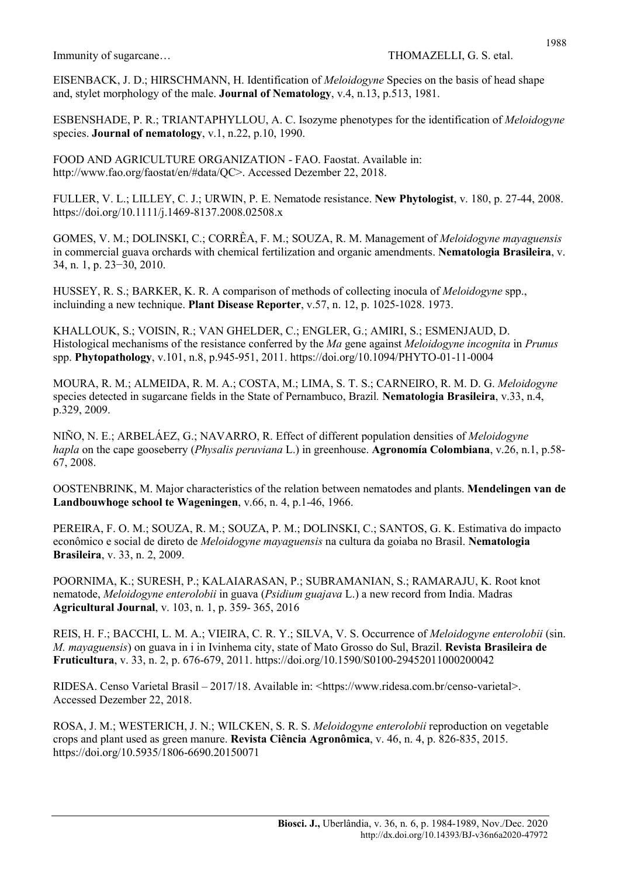EISENBACK, J. D.; HIRSCHMANN, H. Identification of Meloidogyne Species on the basis of head shape and, stylet morphology of the male. Journal of Nematology, v.4, n.13, p.513, 1981.

ESBENSHADE, P. R.; TRIANTAPHYLLOU, A. C. Isozyme phenotypes for the identification of Meloidogyne species. **Journal of nematology**, v.1, n.22, p.10, 1990.

FOOD AND AGRICULTURE ORGANIZATION - FAO. Faostat. Available in: http://www.fao.org/faostat/en/#data/QC>. Accessed Dezember 22, 2018.

FULLER, V. L.; LILLEY, C. J.; URWIN, P. E. Nematode resistance. New Phytologist, v. 180, p. 27-44, 2008. https://doi.org/10.1111/j.1469-8137.2008.02508.x

GOMES, V. M.; DOLINSKI, C.; CORRÊA, F. M.; SOUZA, R. M. Management of Meloidogyne mayaguensis in commercial guava orchards with chemical fertilization and organic amendments. Nematologia Brasileira, v. 34, n. 1, p. 23−30, 2010.

HUSSEY, R. S.; BARKER, K. R. A comparison of methods of collecting inocula of Meloidogyne spp., incluinding a new technique. Plant Disease Reporter, v.57, n. 12, p. 1025-1028. 1973.

KHALLOUK, S.; VOISIN, R.; VAN GHELDER, C.; ENGLER, G.; AMIRI, S.; ESMENJAUD, D. Histological mechanisms of the resistance conferred by the Ma gene against Meloidogyne incognita in Prunus spp. Phytopathology, v.101, n.8, p.945-951, 2011. https://doi.org/10.1094/PHYTO-01-11-0004

MOURA, R. M.; ALMEIDA, R. M. A.; COSTA, M.; LIMA, S. T. S.; CARNEIRO, R. M. D. G. Meloidogyne species detected in sugarcane fields in the State of Pernambuco, Brazil. Nematologia Brasileira, v.33, n.4, p.329, 2009.

NIÑO, N. E.; ARBELÁEZ, G.; NAVARRO, R. Effect of different population densities of Meloidogyne hapla on the cape gooseberry (*Physalis peruviana* L.) in greenhouse. Agronomía Colombiana, v.26, n.1, p.58-67, 2008.

OOSTENBRINK, M. Major characteristics of the relation between nematodes and plants. Mendelingen van de Landbouwhoge school te Wageningen, v.66, n. 4, p.1-46, 1966.

PEREIRA, F. O. M.; SOUZA, R. M.; SOUZA, P. M.; DOLINSKI, C.; SANTOS, G. K. Estimativa do impacto econômico e social de direto de Meloidogyne mayaguensis na cultura da goiaba no Brasil. Nematologia Brasileira, v. 33, n. 2, 2009.

POORNIMA, K.; SURESH, P.; KALAIARASAN, P.; SUBRAMANIAN, S.; RAMARAJU, K. Root knot nematode, Meloidogyne enterolobii in guava (Psidium guajava L.) a new record from India. Madras Agricultural Journal, v. 103, n. 1, p. 359- 365, 2016

REIS, H. F.; BACCHI, L. M. A.; VIEIRA, C. R. Y.; SILVA, V. S. Occurrence of Meloidogyne enterolobii (sin. M. mayaguensis) on guava in i in Ivinhema city, state of Mato Grosso do Sul, Brazil. Revista Brasileira de Fruticultura, v. 33, n. 2, p. 676-679, 2011. https://doi.org/10.1590/S0100-29452011000200042

RIDESA. Censo Varietal Brasil – 2017/18. Available in: <https://www.ridesa.com.br/censo-varietal>. Accessed Dezember 22, 2018.

ROSA, J. M.; WESTERICH, J. N.; WILCKEN, S. R. S. Meloidogyne enterolobii reproduction on vegetable crops and plant used as green manure. Revista Ciência Agronômica, v. 46, n. 4, p. 826-835, 2015. https://doi.org/10.5935/1806-6690.20150071